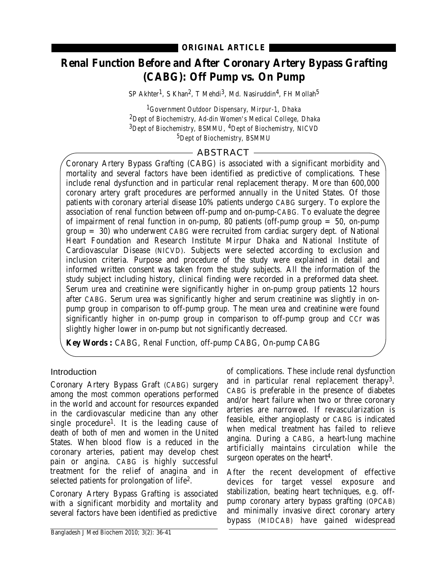# **Renal Function Before and After Coronary Artery Bypass Grafting (CABG): Off Pump vs. On Pump**

SP Akhter<sup>1</sup>, S Khan<sup>2</sup>, T Mehdi<sup>3</sup>, Md. Nasiruddin<sup>4</sup>, FH Mollah<sup>5</sup>

*1Government Outdoor Dispensary, Mirpur-1, Dhaka 2Dept of Biochemistry, Ad-din Women's Medical College, Dhaka 3Dept of Biochemistry, BSMMU, 4Dept of Biochemistry, NICVD 5Dept of Biochemistry, BSMMU*

# - ABSTRACT -

Coronary Artery Bypass Grafting (CABG) is associated with a significant morbidity and mortality and several factors have been identified as predictive of complications. These include renal dysfunction and in particular renal replacement therapy. More than 600,000 coronary artery graft procedures are performed annually in the United States. Of those patients with coronary arterial disease 10% patients undergo CABG surgery. To explore the association of renal function between off-pump and on-pump-CABG. To evaluate the degree of impairment of renal function in on-pump, 80 patients (off-pump group = 50, on-pump group = 30) who underwent CABG were recruited from cardiac surgery dept. of National Heart Foundation and Research Institute Mirpur Dhaka and National Institute of Cardiovascular Disease (NICVD). Subjects were selected according to exclusion and inclusion criteria. Purpose and procedure of the study were explained in detail and informed written consent was taken from the study subjects. All the information of the study subject including history, clinical finding were recorded in a preformed data sheet. Serum urea and creatinine were significantly higher in on-pump group patients 12 hours after CABG. Serum urea was significantly higher and serum creatinine was slightly in onpump group in comparison to off-pump group. The mean urea and creatinine were found significantly higher in on-pump group in comparison to off-pump group and CCr was slightly higher lower in on-pump but not significantly decreased.

**Key Words :** CABG, Renal Function, off-pump CABG, On-pump CABG

# Introduction

Coronary Artery Bypass Graft (CABG) surgery among the most common operations performed in the world and account for resources expanded in the cardiovascular medicine than any other single procedure1. It is the leading cause of death of both of men and women in the United States. When blood flow is a reduced in the coronary arteries, patient may develop chest pain or angina. CABG is highly successful treatment for the relief of anagina and in selected patients for prolongation of life2.

Coronary Artery Bypass Grafting is associated with a significant morbidity and mortality and several factors have been identified as predictive

of complications. These include renal dysfunction and in particular renal replacement therapy3. CABG is preferable in the presence of diabetes and/or heart failure when two or three coronary arteries are narrowed. If revascularization is feasible, either angioplasty or CABG is indicated when medical treatment has failed to relieve angina. During a CABG, a heart-lung machine artificially maintains circulation while the surgeon operates on the heart<sup>4</sup>.

After the recent development of effective devices for target vessel exposure and stabilization, beating heart techniques, e.g. offpump coronary artery bypass grafting (OPCAB) and minimally invasive direct coronary artery bypass (MIDCAB) have gained widespread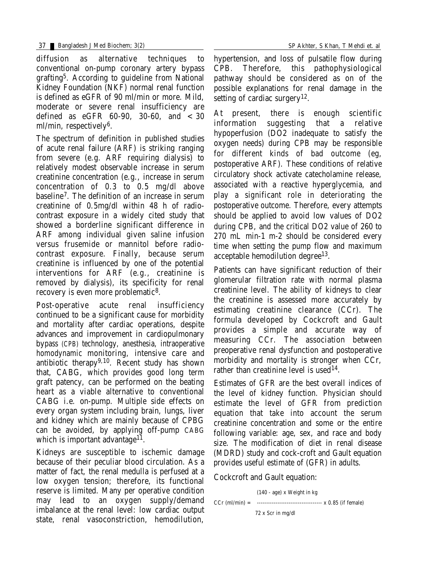diffusion as alternative techniques to conventional on-pump coronary artery bypass grafting5. According to guideline from National Kidney Foundation (NKF) normal renal function is defined as eGFR of 90 ml/min or more. Mild, moderate or severe renal insufficiency are defined as  $eGFR$  60-90, 30-60, and  $<$  30 ml/min, respectively6.

The spectrum of definition in published studies of acute renal failure (ARF) is striking ranging from severe (e.g. ARF requiring dialysis) to relatively modest observable increase in serum creatinine concentration (e.g., increase in serum concentration of 0.3 to 0.5 mg/dl above baseline7. The definition of an increase in serum creatinine of 0.5mg/dl within 48 h of radiocontrast exposure in a widely cited study that showed a borderline significant difference in ARF among individual given saline infusion versus frusemide or mannitol before radiocontrast exposure. Finally, because serum creatinine is influenced by one of the potential interventions for ARF (e.g., creatinine is removed by dialysis), its specificity for renal recovery is even more problematic8.

Post-operative acute renal insufficiency continued to be a significant cause for morbidity and mortality after cardiac operations, despite advances and improvement in cardiopulmonary bypass (CPB) technology, anesthesia, intraoperative homodynamic monitoring, intensive care and antibiotic therapy9,10. Recent study has shown that, CABG, which provides good long term graft patency, can be performed on the beating heart as a viable alternative to conventional CABG i.e. on-pump. Multiple side effects on every organ system including brain, lungs, liver and kidney which are mainly because of CPBG can be avoided, by applying off-pump CABG which is important advantage<sup>11</sup>.

Kidneys are susceptible to ischemic damage because of their peculiar blood circulation. As a matter of fact, the renal medulla is perfused at a low oxygen tension; therefore, its functional reserve is limited. Many per operative condition may lead to an oxygen supply/demand imbalance at the renal level: low cardiac output state, renal vasoconstriction, hemodilution,

hypertension, and loss of pulsatile flow during CPB. Therefore, this pathophysiological pathway should be considered as on of the possible explanations for renal damage in the setting of cardiac surgery<sup>12</sup>.

At present, there is enough scientific information suggesting that a relative hypoperfusion (DO2 inadequate to satisfy the oxygen needs) during CPB may be responsible for different kinds of bad outcome (eg, postoperative ARF). These conditions of relative circulatory shock activate catecholamine release, associated with a reactive hyperglycemia, and play a significant role in deteriorating the postoperative outcome. Therefore, every attempts should be applied to avoid low values of DO2 during CPB, and the critical DO2 value of 260 to 270 mL min-1 m-2 should be considered every time when setting the pump flow and maximum acceptable hemodilution degree<sup>13</sup>.

Patients can have significant reduction of their glomerular filtration rate with normal plasma creatinine level. The ability of kidneys to clear the creatinine is assessed more accurately by estimating creatinine clearance (CCr). The formula developed by Cockcroft and Gault provides a simple and accurate way of measuring CCr. The association between preoperative renal dysfunction and postoperative morbidity and mortality is stronger when CCr, rather than creatinine level is used<sup>14</sup>.

Estimates of GFR are the best overall indices of the level of kidney function. Physician should estimate the level of GFR from prediction equation that take into account the serum creatinine concentration and some or the entire following variable: age, sex, and race and body size. The modification of diet in renal disease (MDRD) study and cock-croft and Gault equation provides useful estimate of (GFR) in adults.

Cockcroft and Gault equation:

$$
(140 - age) x Weight in kg
$$
  
CCr (ml/min) = 1380 (if female)

$$
72 \times
$$
 **SET in mg/dl**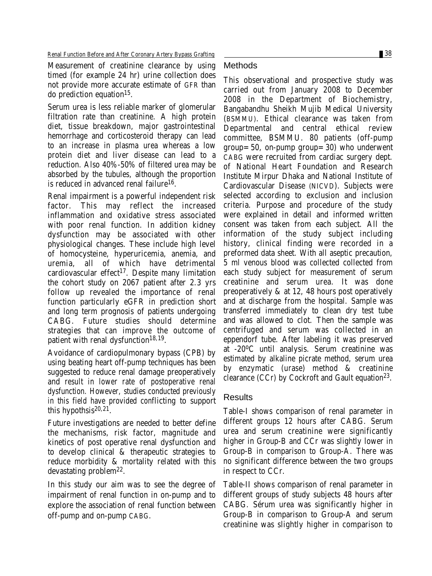Renal Function Before and After Coronary Artery Bypass Grafting 38

Measurement of creatinine clearance by using timed (for example 24 hr) urine collection does not provide more accurate estimate of GFR than do prediction equation<sup>15</sup>.

Serum urea is less reliable marker of glomerular filtration rate than creatinine. A high protein diet, tissue breakdown, major gastrointestinal hemorrhage and corticosteroid therapy can lead to an increase in plasma urea whereas a low protein diet and liver disease can lead to a reduction. Also 40%-50% of filtered urea may be absorbed by the tubules, although the proportion is reduced in advanced renal failure<sup>16</sup>.

Renal impairment is a powerful independent risk factor. This may reflect the increased inflammation and oxidative stress associated with poor renal function. In addition kidney dysfunction may be associated with other physiological changes. These include high level of homocysteine, hyperuricemia, anemia, and uremia, all of which have detrimental cardiovascular effect 17. Despite many limitation the cohort study on 2067 patient after 2.3 yrs follow up revealed the importance of renal function particularly eGFR in prediction short and long term prognosis of patients undergoing CABG. Future studies should determine strategies that can improve the outcome of patient with renal dysfunction<sup>18,19</sup>.

Avoidance of cardiopulmonary bypass (CPB) by using beating heart off-pump techniques has been suggested to reduce renal damage preoperatively and result in lower rate of postoperative renal dysfunction. However, studies conducted previously in this field have provided conflicting to support this hypothsis $20,21$ .

Future investigations are needed to better define the mechanisms, risk factor, magnitude and kinetics of post operative renal dysfunction and to develop clinical & therapeutic strategies to reduce morbidity & mortality related with this devastating problem22.

In this study our aim was to see the degree of impairment of renal function in on-pump and to explore the association of renal function between off-pump and on-pump CABG.

## Methods

This observational and prospective study was carried out from January 2008 to December 2008 in the Department of Biochemistry, Bangabandhu Sheikh Mujib Medical University (BSMMU). Ethical clearance was taken from Departmental and central ethical review committee, BSMMU. 80 patients (off-pump group=50, on-pump group=30) who underwent CABG were recruited from cardiac surgery dept. of National Heart Foundation and Research Institute Mirpur Dhaka and National Institute of Cardiovascular Disease (NICVD). Subjects were selected according to exclusion and inclusion criteria. Purpose and procedure of the study were explained in detail and informed written consent was taken from each subject. All the information of the study subject including history, clinical finding were recorded in a preformed data sheet. With all aseptic precaution, 5 ml venous blood was collected collected from each study subject for measurement of serum creatinine and serum urea. It was done preoperatively & at 12, 48 hours post operatively and at discharge from the hospital. Sample was transferred immediately to clean dry test tube and was allowed to clot. Then the sample was centrifuged and serum was collected in an eppendorf tube. After labeling it was preserved at -20oC until analysis. Serum creatinine was estimated by alkaline picrate method, serum urea by enzymatic (urase) method & creatinine clearance (CCr) by Cockroft and Gault equation23.

## Results

Table-I shows comparison of renal parameter in different groups 12 hours after CABG. Serum urea and serum creatinine were significantly higher in Group-B and CCr was slightly lower in Group-B in comparison to Group-A. There was no significant difference between the two groups in respect to CCr.

Table-II shows comparison of renal parameter in different groups of study subjects 48 hours after CABG. Sérum urea was significantly higher in Group-B in comparison to Group-A and serum creatinine was slightly higher in comparison to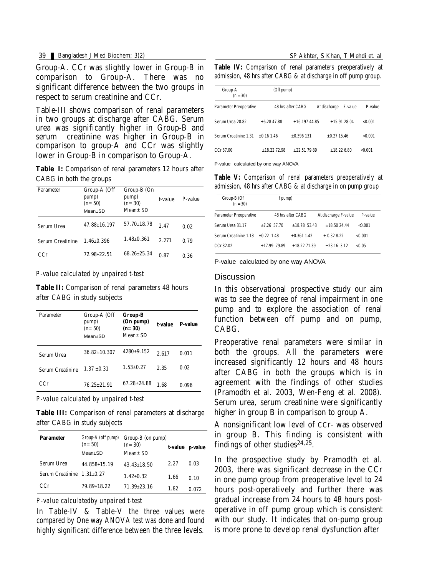Group-A. CCr was slightly lower in Group-B in comparison to Group-A. There was no significant difference between the two groups in respect to serum creatinine and CCr.

Table-III shows comparison of renal parameters in two groups at discharge after CABG. Serum urea was significantly higher in Group-B and serum creatinine was higher in Group-B in comparison to group-A and CCr was slightly lower in Group-B in comparison to Group-A.

**Table I:** Comparison of renal parameters 12 hours after CABG in both the groups

| <b>Parameter</b>        | Group-A (Off<br>pump)<br>$(n=50)$<br>$Mean + SD$ | Group-B (On<br>pump)<br>$(n=30)$<br>$Mean \pm SD$ | t-value | <b>P-value</b> |
|-------------------------|--------------------------------------------------|---------------------------------------------------|---------|----------------|
| Serum Urea              | $47.88 + 16.197$                                 | $57.70 + 18.78$                                   | 2.47    | 0.02           |
| <b>Serum Creatinine</b> | $1.46 \scriptstyle{\pm 0.396}$                   | $1.48 + 0.361$                                    | 2.271   | 0.79           |
| CCr                     | $72.98 + 22.51$                                  | 68.26+25.34                                       | 0.87    | 0.36           |

#### *P-value calculated by unpaired t-test*

**Table II:** Comparison of renal parameters 48 hours after CABG in study subjects

| <b>Parameter</b>        | Group-A (Off<br>pump)<br>$(n=50)$<br>$Mean + SD$ | <b>Group-B</b><br>(On pump)<br>$(n=30)$<br>$Mean \pm SD$ | t-value | <b>P-value</b> |
|-------------------------|--------------------------------------------------|----------------------------------------------------------|---------|----------------|
| Serum Urea              | $36.82{\pm}10.307$                               | $4280+9.152$                                             | 2.617   | 0.011          |
| <b>Serum Creatinine</b> | $1.37 + 0.31$                                    | $1.53 + 0.27$                                            | 2.35    | 0.02           |
| CCr                     | 76.25+21.91                                      | $67.28 + 24.88$                                          | 1.68    | 0.096          |

*P-value calculated by unpaired t-test*

**Table III:** Comparison of renal parameters at discharge after CABG in study subjects

| Parameter               | Group-A (off pump)<br>$(n=50)$<br>Mean+SD | Group-B (on pump)<br>$(n=30)$<br>$Mean \pm SD$ |      | t-value p-value |
|-------------------------|-------------------------------------------|------------------------------------------------|------|-----------------|
| Serum Urea              | $44.858 + 15.19$                          | $43.43 \pm 18.50$                              | 2.27 | 0.03            |
| <b>Serum Creatinine</b> | $1.31 + 0.27$                             | $1.42 + 0.32$                                  | 1.66 | 0.10            |
| CCr                     | 79.89+18.22                               | $71.39 + 23.16$                                | 1.82 | 0.072           |

#### *P-value calculatedby unpaired t-test*

In Table-IV & Table-V the three values were compared by One way ANOVA test was done and found highly significant difference between the three levels.

**Table IV:** Comparison of renal parameters preoperatively at admission, 48 hrs after CABG & at discharge in off pump group.

| Group-A<br>$(n = 30)$  | (Off pump)  |                   |              |             |         |
|------------------------|-------------|-------------------|--------------|-------------|---------|
| Parameter Preoperative |             | 48 hrs after CABG | At discharge | F-value     | P-value |
| Serum Urea 28.82       | ±6.2847.88  | ±16.19744.85      |              | ±15.9128.04 | < 0.001 |
| Serum Creatinine 1.31  | ±0.161.46   | $±0.396$ 131      | ±0.2715.46   |             | < 0.001 |
| CCr 87.00              | ±18.2272.98 | ±22.5179.89       | ±18.226.80   |             | < 0.001 |

P-value calculated by one way ANOVA

**Table V:** Comparison of renal parameters preoperatively at admission, 48 hrs after CABG & at discharge in on pump group

| Group-B (Of<br>$(n = 30)$ | f pump)        |                   |                      |         |
|---------------------------|----------------|-------------------|----------------------|---------|
| Parameter Preoperative    |                | 48 hrs after CABG | At discharge F-value | P-value |
| Serum Urea 31.17          | $±7.26$ 57.70  | $±18.78$ 53.43    | ±18.5024.44          | < 0.001 |
| Serum Creatinine 1.18     | $+0.22 \pm 48$ | $\pm 0.361$ 1.42  | $\pm 0.328.22$       | < 0.001 |
| CCr 82.02                 | $±17.99$ 79.89 | ±18.2271.39       | $±23.16$ 3.12        | < 0.05  |

P-value calculated by one way ANOVA

#### Discussion

In this observational prospective study our aim was to see the degree of renal impairment in one pump and to explore the association of renal function between off pump and on pump, CABG.

Preoperative renal parameters were similar in both the groups. All the parameters were increased significantly 12 hours and 48 hours after CABG in both the groups which is in agreement with the findings of other studies (Pramodth et al. 2003, Wen-Feng et al. 2008). Serum urea, serum creatinine were significantly higher in group B in comparison to group A.

A nonsignificant low level of CCr- was observed in group B. This finding is consistent with findings of other studies<sup>24,25</sup>.

In the prospective study by Pramodth et al. 2003, there was significant decrease in the CCr in one pump group from preoperative level to 24 hours post-operatively and further there was gradual increase from 24 hours to 48 hours postoperative in off pump group which is consistent with our study. It indicates that on-pump group is more prone to develop renal dysfunction after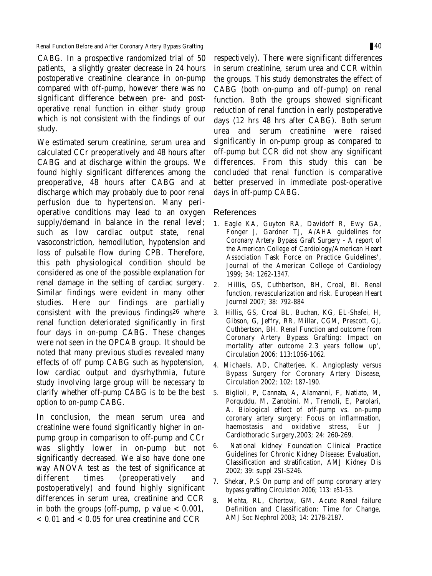CABG. In a prospective randomized trial of 50 patients, a slightly greater decrease in 24 hours postoperative creatinine clearance in on-pump compared with off-pump, however there was no significant difference between pre- and postoperative renal function in either study group which is not consistent with the findings of our study.

We estimated serum creatinine, serum urea and calculated CCr preoperatively and 48 hours after CABG and at discharge within the groups. We found highly significant differences among the preoperative, 48 hours after CABG and at discharge which may probably due to poor renal perfusion due to hypertension. Many perioperative conditions may lead to an oxygen supply/demand in balance in the renal level; such as low cardiac output state, renal vasoconstriction, hemodilution, hypotension and loss of pulsatile flow during CPB. Therefore, this path physiological condition should be considered as one of the possible explanation for renal damage in the setting of cardiac surgery. Similar findings were evident in many other studies. Here our findings are partially consistent with the previous findings26 where renal function deteriorated significantly in first four days in on-pump CABG. These changes were not seen in the OPCAB group. It should be noted that many previous studies revealed many effects of off pump CABG such as hypotension, low cardiac output and dysrhythmia, future study involving large group will be necessary to clarify whether off-pump CABG is to be the best option to on-pump CABG.

In conclusion, the mean serum urea and creatinine were found significantly higher in onpump group in comparison to off-pump and CCr was slightly lower in on-pump but not significantly decreased. We also have done one way ANOVA test as the test of significance at different times (preoperatively and postoperatively) and found highly significant differences in serum urea, creatinine and CCR in both the groups (off-pump, p value  $< 0.001$ ,  $< 0.01$  and  $< 0.05$  for urea creatinine and CCR

respectively). There were significant differences in serum creatinine, serum urea and CCR within the groups. This study demonstrates the effect of CABG (both on-pump and off-pump) on renal function. Both the groups showed significant reduction of renal function in early postoperative days (12 hrs 48 hrs after CABG). Both serum urea and serum creatinine were raised significantly in on-pump group as compared to off-pump but CCR did not show any significant differences. From this study this can be concluded that renal function is comparative better preserved in immediate post-operative days in off-pump CABG.

References

- 1. Eagle KA, Guyton RA, Davidoff R, Ewy GA, Fonger J, Gardner TJ, A/AHA guidelines for Coronary Artery Bypass Graft Surgery - A report of the American College of Cardiology/American Heart Association Task Force on Practice Guidelines', Journal of the American College of Cardiology 1999; 34: 1262-1347.
- 2. Hillis, GS, Cuthbertson, BH, Croal, BI. Renal function, revascularization and risk. European Heart Journal 2007; 38: 792-884
- 3. Hillis, GS, Croal BL, Buchan, KG, EL-Shafei, H, Gibson, G, Jeffry, RR, Millar, CGM, Prescott, GJ, Cuthbertson, BH. Renal Function and outcome from Coronary Artery Bypass Grafting: Impact on mortality after outcome 2.3 years follow up', Circulation 2006; 113:1056-1062.
- 4. Michaels, AD, Chatterjee, K. Angioplasty versus Bypass Surgery for Coronary Artery Disease, Circulation 2002; 102: 187-190.
- 5. Biglioli, P, Cannata, A, Alamanni, F, Natiato, M, Porquddu, M, Zanobini, M, Tremoli, E, Parolari, A. Biological effect of off-pump vs. on-pump coronary artery surgery: Focus on inflammation, haemostasis and oxidative stress, Cardiothoracic Surgery,2003; 24: 260-269.
- 6. National kidney Foundation Clinical Practice Guidelines for Chronic Kidney Disease: Evaluation, Classification and stratification, AMJ Kidney Dis 2002; 39: suppl 2SI-S246.
- 7. Shekar, P.S On pump and off pump coronary artery bypass grafting Circulation 2006; 113: e51-53.
- 8. Mehta, RL, Chertow, GM. Acute Renal failure Definition and Classification: Time for Change, AMJ Soc Nephrol 2003; 14: 2178-2187.